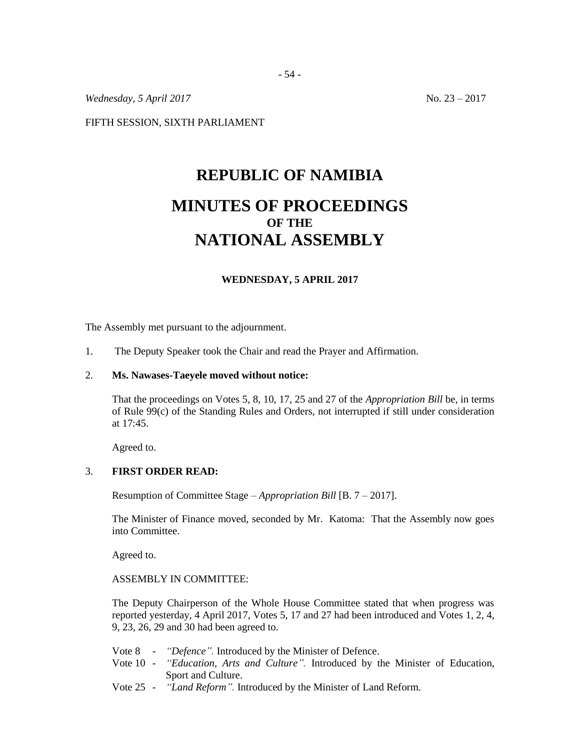*Wednesday, 5 April 2017* No. 23 – 2017

FIFTH SESSION, SIXTH PARLIAMENT

# **REPUBLIC OF NAMIBIA MINUTES OF PROCEEDINGS OF THE NATIONAL ASSEMBLY**

#### **WEDNESDAY, 5 APRIL 2017**

The Assembly met pursuant to the adjournment.

1. The Deputy Speaker took the Chair and read the Prayer and Affirmation.

#### 2. **Ms. Nawases-Taeyele moved without notice:**

That the proceedings on Votes 5, 8, 10, 17, 25 and 27 of the *Appropriation Bill* be, in terms of Rule 99(c) of the Standing Rules and Orders, not interrupted if still under consideration at 17:45.

Agreed to.

#### 3. **FIRST ORDER READ:**

Resumption of Committee Stage – *Appropriation Bill* [B. 7 – 2017].

The Minister of Finance moved, seconded by Mr. Katoma: That the Assembly now goes into Committee.

Agreed to.

#### ASSEMBLY IN COMMITTEE:

The Deputy Chairperson of the Whole House Committee stated that when progress was reported yesterday, 4 April 2017, Votes 5, 17 and 27 had been introduced and Votes 1, 2, 4, 9, 23, 26, 29 and 30 had been agreed to.

- Vote 8 *"Defence".* Introduced by the Minister of Defence.
- Vote 10 *"Education, Arts and Culture".* Introduced by the Minister of Education, Sport and Culture.
- Vote 25 *"Land Reform".* Introduced by the Minister of Land Reform.